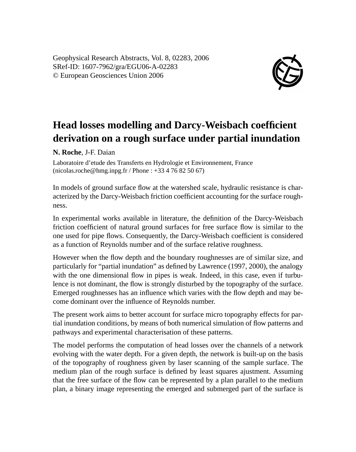Geophysical Research Abstracts, Vol. 8, 02283, 2006 SRef-ID: 1607-7962/gra/EGU06-A-02283 © European Geosciences Union 2006



## **Head losses modelling and Darcy-Weisbach coefficient derivation on a rough surface under partial inundation**

**N. Roche**, J-F. Daian

Laboratoire d'etude des Transferts en Hydrologie et Environnement, France (nicolas.roche@hmg.inpg.fr / Phone : +33 4 76 82 50 67)

In models of ground surface flow at the watershed scale, hydraulic resistance is characterized by the Darcy-Weisbach friction coefficient accounting for the surface roughness.

In experimental works available in literature, the definition of the Darcy-Weisbach friction coefficient of natural ground surfaces for free surface flow is similar to the one used for pipe flows. Consequently, the Darcy-Weisbach coefficient is considered as a function of Reynolds number and of the surface relative roughness.

However when the flow depth and the boundary roughnesses are of similar size, and particularly for "partial inundation" as defined by Lawrence (1997, 2000), the analogy with the one dimensional flow in pipes is weak. Indeed, in this case, even if turbulence is not dominant, the flow is strongly disturbed by the topography of the surface. Emerged roughnesses has an influence which varies with the flow depth and may become dominant over the influence of Reynolds number.

The present work aims to better account for surface micro topography effects for partial inundation conditions, by means of both numerical simulation of flow patterns and pathways and experimental characterisation of these patterns.

The model performs the computation of head losses over the channels of a network evolving with the water depth. For a given depth, the network is built-up on the basis of the topography of roughness given by laser scanning of the sample surface. The medium plan of the rough surface is defined by least squares ajustment. Assuming that the free surface of the flow can be represented by a plan parallel to the medium plan, a binary image representing the emerged and submerged part of the surface is